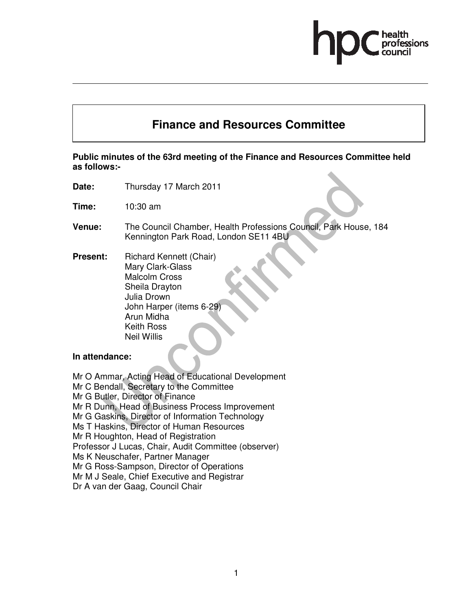# **Finance and Resources Committee**

# **Public minutes of the 63rd meeting of the Finance and Resources Committee held as follows:-**

- **Date:** Thursday 17 March 2011
- **Time:** 10:30 am
- **Venue:** The Council Chamber, Health Professions Council, Park House, 184 Kennington Park Road, London SE11 4BU
- **Present:** Richard Kennett (Chair) Mary Clark-Glass Malcolm Cross Sheila Drayton Julia Drown John Harper (items 6-29) Arun Midha Keith Ross Neil Willis

# **In attendance:**

Mr O Ammar, Acting Head of Educational Development Mr C Bendall, Secretary to the Committee Mr G Butler, Director of Finance Mr R Dunn, Head of Business Process Improvement Mr G Gaskins, Director of Information Technology Ms T Haskins, Director of Human Resources Mr R Houghton, Head of Registration Professor J Lucas, Chair, Audit Committee (observer) Ms K Neuschafer, Partner Manager Mr G Ross-Sampson, Director of Operations Mr M J Seale, Chief Executive and Registrar Dr A van der Gaag, Council Chair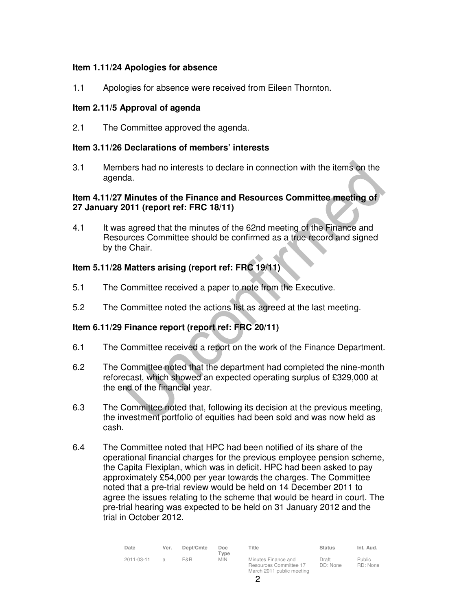# **Item 1.11/24 Apologies for absence**

1.1 Apologies for absence were received from Eileen Thornton.

#### **Item 2.11/5 Approval of agenda**

2.1 The Committee approved the agenda.

#### **Item 3.11/26 Declarations of members' interests**

3.1 Members had no interests to declare in connection with the items on the agenda.

# **Item 4.11/27 Minutes of the Finance and Resources Committee meeting of 27 January 2011 (report ref: FRC 18/11)**

4.1 It was agreed that the minutes of the 62nd meeting of the Finance and Resources Committee should be confirmed as a true record and signed by the Chair.

# **Item 5.11/28 Matters arising (report ref: FRC 19/11)**

- 5.1 The Committee received a paper to note from the Executive.
- 5.2 The Committee noted the actions list as agreed at the last meeting.

# **Item 6.11/29 Finance report (report ref: FRC 20/11)**

- 6.1 The Committee received a report on the work of the Finance Department.
- 6.2 The Committee noted that the department had completed the nine-month reforecast, which showed an expected operating surplus of £329,000 at the end of the financial year.
- 6.3 The Committee noted that, following its decision at the previous meeting, the investment portfolio of equities had been sold and was now held as cash.
- 6.4 The Committee noted that HPC had been notified of its share of the operational financial charges for the previous employee pension scheme, the Capita Flexiplan, which was in deficit. HPC had been asked to pay approximately £54,000 per year towards the charges. The Committee noted that a pre-trial review would be held on 14 December 2011 to agree the issues relating to the scheme that would be heard in court. The pre-trial hearing was expected to be held on 31 January 2012 and the trial in October 2012.

| Date       | Ver.          | Dept/Cmte | Doc<br>Type | Title                                                                      | Status            | Int. Aud.          |
|------------|---------------|-----------|-------------|----------------------------------------------------------------------------|-------------------|--------------------|
| 2011-03-11 | $\mathcal{A}$ | F&R       | <b>MIN</b>  | Minutes Finance and<br>Resources Committee 17<br>March 2011 public meeting | Draft<br>DD: None | Public<br>RD: None |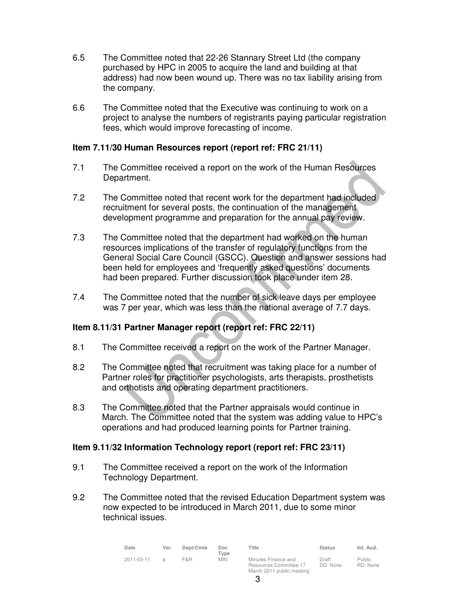- 6.5 The Committee noted that 22-26 Stannary Street Ltd (the company purchased by HPC in 2005 to acquire the land and building at that address) had now been wound up. There was no tax liability arising from the company.
- 6.6 The Committee noted that the Executive was continuing to work on a project to analyse the numbers of registrants paying particular registration fees, which would improve forecasting of income.

# **Item 7.11/30 Human Resources report (report ref: FRC 21/11)**

- 7.1 The Committee received a report on the work of the Human Resources Department.
- 7.2 The Committee noted that recent work for the department had included recruitment for several posts, the continuation of the management development programme and preparation for the annual pay review.
- 7.3 The Committee noted that the department had worked on the human resources implications of the transfer of regulatory functions from the General Social Care Council (GSCC). Question and answer sessions had been held for employees and 'frequently asked questions' documents had been prepared. Further discussion took place under item 28.
- 7.4 The Committee noted that the number of sick leave days per employee was 7 per year, which was less than the national average of 7.7 days.

# **Item 8.11/31 Partner Manager report (report ref: FRC 22/11)**

- 8.1 The Committee received a report on the work of the Partner Manager.
- 8.2 The Committee noted that recruitment was taking place for a number of Partner roles for practitioner psychologists, arts therapists, prosthetists and orthotists and operating department practitioners.
- 8.3 The Committee noted that the Partner appraisals would continue in March. The Committee noted that the system was adding value to HPC's operations and had produced learning points for Partner training.

#### **Item 9.11/32 Information Technology report (report ref: FRC 23/11)**

- 9.1 The Committee received a report on the work of the Information Technology Department.
- 9.2 The Committee noted that the revised Education Department system was now expected to be introduced in March 2011, due to some minor technical issues.

| Date       | Ver.          | Dept/Cmte | Doc.<br>Tvpe | Title                                                                      | <b>Status</b>     | Int. Aud.                 |
|------------|---------------|-----------|--------------|----------------------------------------------------------------------------|-------------------|---------------------------|
| 2011-03-11 | $\mathcal{A}$ | F&R       | <b>MIN</b>   | Minutes Finance and<br>Resources Committee 17<br>March 2011 public meeting | Draft<br>DD: None | <b>Public</b><br>RD: None |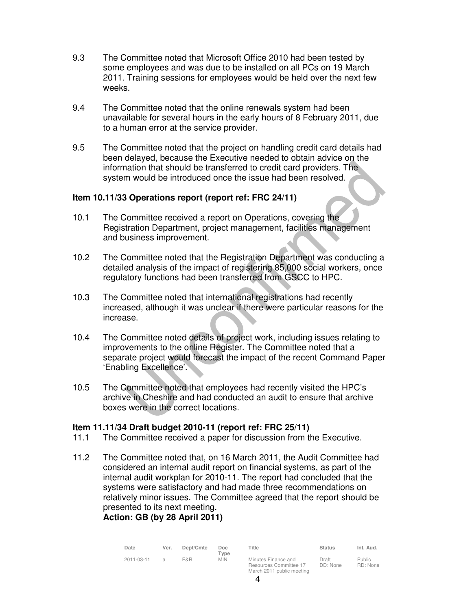- 9.3 The Committee noted that Microsoft Office 2010 had been tested by some employees and was due to be installed on all PCs on 19 March 2011. Training sessions for employees would be held over the next few weeks.
- 9.4 The Committee noted that the online renewals system had been unavailable for several hours in the early hours of 8 February 2011, due to a human error at the service provider.
- 9.5 The Committee noted that the project on handling credit card details had been delayed, because the Executive needed to obtain advice on the information that should be transferred to credit card providers. The system would be introduced once the issue had been resolved.

#### **Item 10.11/33 Operations report (report ref: FRC 24/11)**

- 10.1 The Committee received a report on Operations, covering the Registration Department, project management, facilities management and business improvement.
- 10.2 The Committee noted that the Registration Department was conducting a detailed analysis of the impact of registering 85,000 social workers, once regulatory functions had been transferred from GSCC to HPC.
- 10.3 The Committee noted that international registrations had recently increased, although it was unclear if there were particular reasons for the increase.
- 10.4 The Committee noted details of project work, including issues relating to improvements to the online Register. The Committee noted that a separate project would forecast the impact of the recent Command Paper 'Enabling Excellence'.
- 10.5 The Committee noted that employees had recently visited the HPC's archive in Cheshire and had conducted an audit to ensure that archive boxes were in the correct locations.

#### **Item 11.11/34 Draft budget 2010-11 (report ref: FRC 25/11)**

- 11.1 The Committee received a paper for discussion from the Executive.
- 11.2 The Committee noted that, on 16 March 2011, the Audit Committee had considered an internal audit report on financial systems, as part of the internal audit workplan for 2010-11. The report had concluded that the systems were satisfactory and had made three recommendations on relatively minor issues. The Committee agreed that the report should be presented to its next meeting.

# **Action: GB (by 28 April 2011)**

| Date       | Ver.          | Dept/Cmte | Doc.<br>Tvpe | Title                                                                      | <b>Status</b>     | Int. Aud.                 |
|------------|---------------|-----------|--------------|----------------------------------------------------------------------------|-------------------|---------------------------|
| 2011-03-11 | $\mathcal{A}$ | F&R       | <b>MIN</b>   | Minutes Finance and<br>Resources Committee 17<br>March 2011 public meeting | Draft<br>DD: None | <b>Public</b><br>RD: None |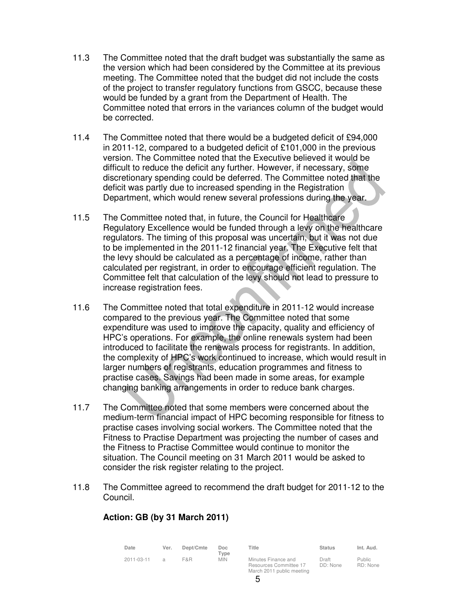- 11.3 The Committee noted that the draft budget was substantially the same as the version which had been considered by the Committee at its previous meeting. The Committee noted that the budget did not include the costs of the project to transfer regulatory functions from GSCC, because these would be funded by a grant from the Department of Health. The Committee noted that errors in the variances column of the budget would be corrected.
- 11.4 The Committee noted that there would be a budgeted deficit of £94,000 in 2011-12, compared to a budgeted deficit of £101,000 in the previous version. The Committee noted that the Executive believed it would be difficult to reduce the deficit any further. However, if necessary, some discretionary spending could be deferred. The Committee noted that the deficit was partly due to increased spending in the Registration Department, which would renew several professions during the year.
- 11.5 The Committee noted that, in future, the Council for Healthcare Regulatory Excellence would be funded through a levy on the healthcare regulators. The timing of this proposal was uncertain, but it was not due to be implemented in the 2011-12 financial year. The Executive felt that the levy should be calculated as a percentage of income, rather than calculated per registrant, in order to encourage efficient regulation. The Committee felt that calculation of the levy should not lead to pressure to increase registration fees.
- 11.6 The Committee noted that total expenditure in 2011-12 would increase compared to the previous year. The Committee noted that some expenditure was used to improve the capacity, quality and efficiency of HPC's operations. For example, the online renewals system had been introduced to facilitate the renewals process for registrants. In addition, the complexity of HPC's work continued to increase, which would result in larger numbers of registrants, education programmes and fitness to practise cases. Savings had been made in some areas, for example changing banking arrangements in order to reduce bank charges.
- 11.7 The Committee noted that some members were concerned about the medium-term financial impact of HPC becoming responsible for fitness to practise cases involving social workers. The Committee noted that the Fitness to Practise Department was projecting the number of cases and the Fitness to Practise Committee would continue to monitor the situation. The Council meeting on 31 March 2011 would be asked to consider the risk register relating to the project.
- 11.8 The Committee agreed to recommend the draft budget for 2011-12 to the Council.

# **Action: GB (by 31 March 2011)**

| Date       | Ver.          | Dept/Cmte | Doc<br>$T$ vpe | Title                                                                      | Status            | Int. Aud.          |
|------------|---------------|-----------|----------------|----------------------------------------------------------------------------|-------------------|--------------------|
| 2011-03-11 | $\mathcal{A}$ | F&R       | <b>MIN</b>     | Minutes Finance and<br>Resources Committee 17<br>March 2011 public meeting | Draft<br>DD: None | Public<br>RD: None |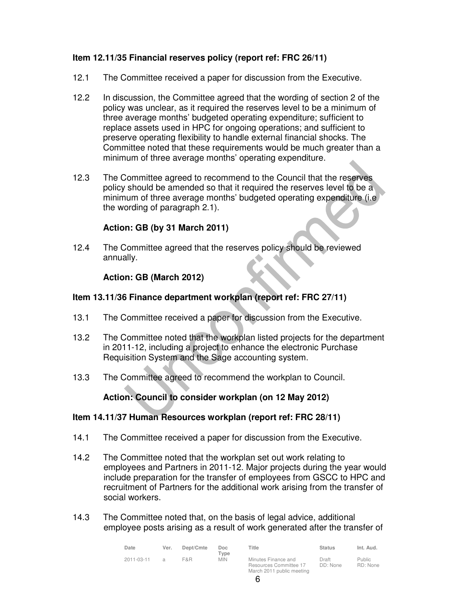# **Item 12.11/35 Financial reserves policy (report ref: FRC 26/11)**

- 12.1 The Committee received a paper for discussion from the Executive.
- 12.2 In discussion, the Committee agreed that the wording of section 2 of the policy was unclear, as it required the reserves level to be a minimum of three average months' budgeted operating expenditure; sufficient to replace assets used in HPC for ongoing operations; and sufficient to preserve operating flexibility to handle external financial shocks. The Committee noted that these requirements would be much greater than a minimum of three average months' operating expenditure.
- 12.3 The Committee agreed to recommend to the Council that the reserves policy should be amended so that it required the reserves level to be a minimum of three average months' budgeted operating expenditure (i.e the wording of paragraph 2.1).

# **Action: GB (by 31 March 2011)**

12.4 The Committee agreed that the reserves policy should be reviewed annually.

# **Action: GB (March 2012)**

# **Item 13.11/36 Finance department workplan (report ref: FRC 27/11)**

- 13.1 The Committee received a paper for discussion from the Executive.
- 13.2 The Committee noted that the workplan listed projects for the department in 2011-12, including a project to enhance the electronic Purchase Requisition System and the Sage accounting system.
- 13.3 The Committee agreed to recommend the workplan to Council.

# **Action: Council to consider workplan (on 12 May 2012)**

#### **Item 14.11/37 Human Resources workplan (report ref: FRC 28/11)**

- 14.1 The Committee received a paper for discussion from the Executive.
- 14.2 The Committee noted that the workplan set out work relating to employees and Partners in 2011-12. Major projects during the year would include preparation for the transfer of employees from GSCC to HPC and recruitment of Partners for the additional work arising from the transfer of social workers.
- 14.3 The Committee noted that, on the basis of legal advice, additional employee posts arising as a result of work generated after the transfer of

| Date       | Ver. | Dept/Cmte | Doc<br>Type | Title                                                                      | <b>Status</b>     | Int. Aud.                 |
|------------|------|-----------|-------------|----------------------------------------------------------------------------|-------------------|---------------------------|
| 2011-03-11 |      | F&R       | <b>MIN</b>  | Minutes Finance and<br>Resources Committee 17<br>March 2011 public meeting | Draft<br>DD: None | <b>Public</b><br>RD: None |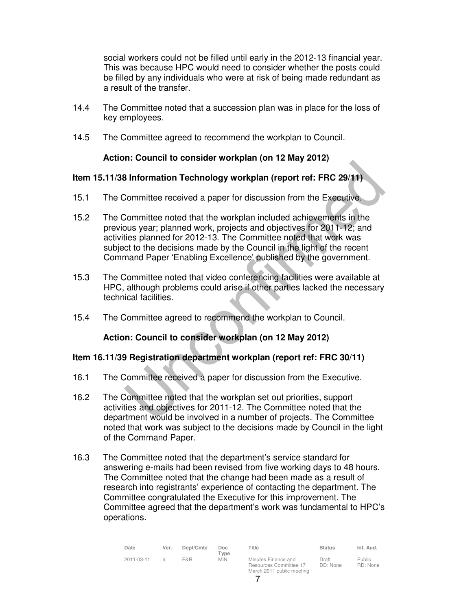social workers could not be filled until early in the 2012-13 financial year. This was because HPC would need to consider whether the posts could be filled by any individuals who were at risk of being made redundant as a result of the transfer.

- 14.4 The Committee noted that a succession plan was in place for the loss of key employees.
- 14.5 The Committee agreed to recommend the workplan to Council.

# **Action: Council to consider workplan (on 12 May 2012)**

#### **Item 15.11/38 Information Technology workplan (report ref: FRC 29/11)**

- 15.1 The Committee received a paper for discussion from the Executive.
- 15.2 The Committee noted that the workplan included achievements in the previous year; planned work, projects and objectives for 2011-12; and activities planned for 2012-13. The Committee noted that work was subject to the decisions made by the Council in the light of the recent Command Paper 'Enabling Excellence' published by the government.
- 15.3 The Committee noted that video conferencing facilities were available at HPC, although problems could arise if other parties lacked the necessary technical facilities.
- 15.4 The Committee agreed to recommend the workplan to Council.

# **Action: Council to consider workplan (on 12 May 2012)**

#### **Item 16.11/39 Registration department workplan (report ref: FRC 30/11)**

- 16.1 The Committee received a paper for discussion from the Executive.
- 16.2 The Committee noted that the workplan set out priorities, support activities and objectives for 2011-12. The Committee noted that the department would be involved in a number of projects. The Committee noted that work was subject to the decisions made by Council in the light of the Command Paper.
- 16.3 The Committee noted that the department's service standard for answering e-mails had been revised from five working days to 48 hours. The Committee noted that the change had been made as a result of research into registrants' experience of contacting the department. The Committee congratulated the Executive for this improvement. The Committee agreed that the department's work was fundamental to HPC's operations.

| Date       | Ver. | Dept/Cmte | Doc.<br>Type | Title                                                                      | <b>Status</b>     | Int. Aud.          |
|------------|------|-----------|--------------|----------------------------------------------------------------------------|-------------------|--------------------|
| 2011-03-11 |      | F&R       | <b>MIN</b>   | Minutes Finance and<br>Resources Committee 17<br>March 2011 public meeting | Draft<br>DD: None | Public<br>RD: None |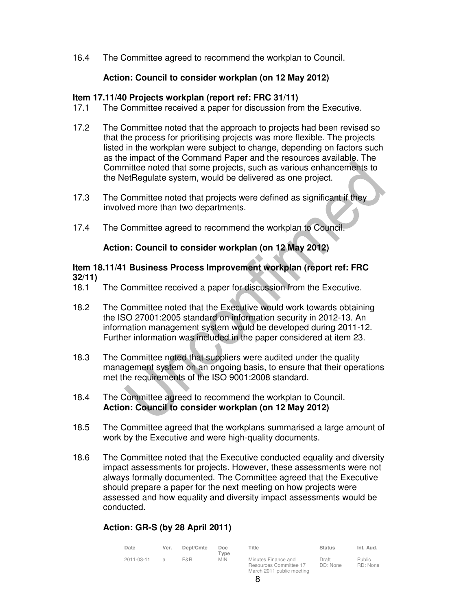16.4 The Committee agreed to recommend the workplan to Council.

# **Action: Council to consider workplan (on 12 May 2012)**

# **Item 17.11/40 Projects workplan (report ref: FRC 31/11)**

- 17.1 The Committee received a paper for discussion from the Executive.
- 17.2 The Committee noted that the approach to projects had been revised so that the process for prioritising projects was more flexible. The projects listed in the workplan were subject to change, depending on factors such as the impact of the Command Paper and the resources available. The Committee noted that some projects, such as various enhancements to the NetRegulate system, would be delivered as one project.
- 17.3 The Committee noted that projects were defined as significant if they involved more than two departments.
- 17.4 The Committee agreed to recommend the workplan to Council.

# **Action: Council to consider workplan (on 12 May 2012)**

#### **Item 18.11/41 Business Process Improvement workplan (report ref: FRC 32/11)**

- 18.1 The Committee received a paper for discussion from the Executive.
- 18.2 The Committee noted that the Executive would work towards obtaining the ISO 27001:2005 standard on information security in 2012-13. An information management system would be developed during 2011-12. Further information was included in the paper considered at item 23.
- 18.3 The Committee noted that suppliers were audited under the quality management system on an ongoing basis, to ensure that their operations met the requirements of the ISO 9001:2008 standard.
- 18.4 The Committee agreed to recommend the workplan to Council. **Action: Council to consider workplan (on 12 May 2012)**
- 18.5 The Committee agreed that the workplans summarised a large amount of work by the Executive and were high-quality documents.
- 18.6 The Committee noted that the Executive conducted equality and diversity impact assessments for projects. However, these assessments were not always formally documented. The Committee agreed that the Executive should prepare a paper for the next meeting on how projects were assessed and how equality and diversity impact assessments would be conducted.

# **Action: GR-S (by 28 April 2011)**

| Date       | Ver.          | Dept/Cmte | Doc<br>$T$ vpe | Title                                                                      | <b>Status</b>     | Int. Aud.          |
|------------|---------------|-----------|----------------|----------------------------------------------------------------------------|-------------------|--------------------|
| 2011-03-11 | $\mathcal{A}$ | F&R       | <b>MIN</b>     | Minutes Finance and<br>Resources Committee 17<br>March 2011 public meeting | Draft<br>DD: None | Public<br>RD: None |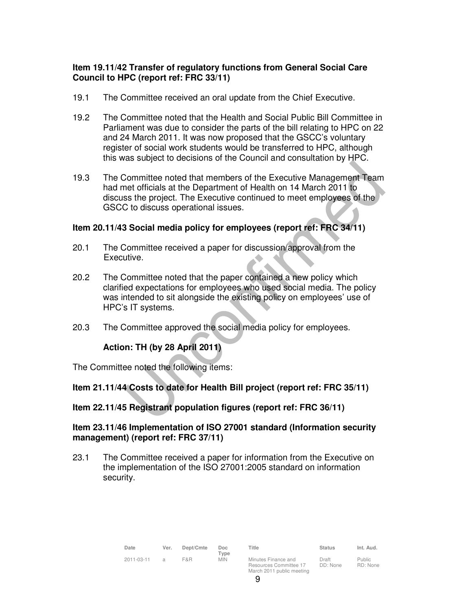# **Item 19.11/42 Transfer of regulatory functions from General Social Care Council to HPC (report ref: FRC 33/11)**

- 19.1 The Committee received an oral update from the Chief Executive.
- 19.2 The Committee noted that the Health and Social Public Bill Committee in Parliament was due to consider the parts of the bill relating to HPC on 22 and 24 March 2011. It was now proposed that the GSCC's voluntary register of social work students would be transferred to HPC, although this was subject to decisions of the Council and consultation by HPC.
- 19.3 The Committee noted that members of the Executive Management Team had met officials at the Department of Health on 14 March 2011 to discuss the project. The Executive continued to meet employees of the GSCC to discuss operational issues.

# **Item 20.11/43 Social media policy for employees (report ref: FRC 34/11)**

- 20.1 The Committee received a paper for discussion/approval from the Executive.
- 20.2 The Committee noted that the paper contained a new policy which clarified expectations for employees who used social media. The policy was intended to sit alongside the existing policy on employees' use of HPC's IT systems.
- 20.3 The Committee approved the social media policy for employees.

# **Action: TH (by 28 April 2011)**

The Committee noted the following items:

# **Item 21.11/44 Costs to date for Health Bill project (report ref: FRC 35/11)**

#### **Item 22.11/45 Registrant population figures (report ref: FRC 36/11)**

#### **Item 23.11/46 Implementation of ISO 27001 standard (Information security management) (report ref: FRC 37/11)**

23.1 The Committee received a paper for information from the Executive on the implementation of the ISO 27001:2005 standard on information security.

| Date       | Ver.          | Dept/Cmte | Doc<br>Type | Title                                                                      | <b>Status</b>     | Int. Aud.                 |
|------------|---------------|-----------|-------------|----------------------------------------------------------------------------|-------------------|---------------------------|
| 2011-03-11 | $\mathcal{A}$ | F&R       | <b>MIN</b>  | Minutes Finance and<br>Resources Committee 17<br>March 2011 public meeting | Draft<br>DD: None | <b>Public</b><br>RD: None |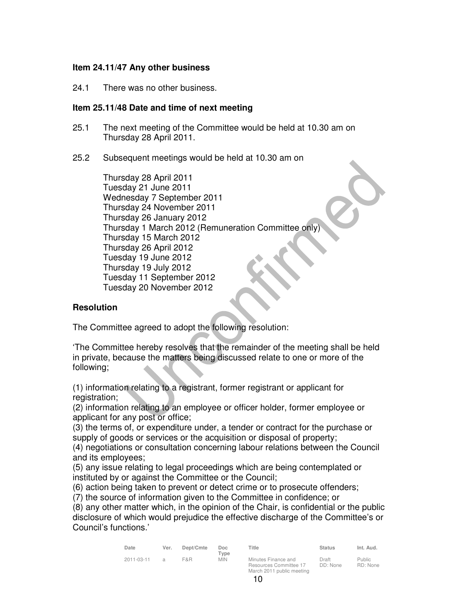#### **Item 24.11/47 Any other business**

24.1 There was no other business.

#### **Item 25.11/48 Date and time of next meeting**

- 25.1 The next meeting of the Committee would be held at 10.30 am on Thursday 28 April 2011.
- 25.2 Subsequent meetings would be held at 10.30 am on

Thursday 28 April 2011 Tuesday 21 June 2011 Wednesday 7 September 2011 Thursday 24 November 2011 Thursday 26 January 2012 Thursday 1 March 2012 (Remuneration Committee only) Thursday 15 March 2012 Thursday 26 April 2012 Tuesday 19 June 2012 Thursday 19 July 2012 Tuesday 11 September 2012 Tuesday 20 November 2012

# **Resolution**

The Committee agreed to adopt the following resolution:

'The Committee hereby resolves that the remainder of the meeting shall be held in private, because the matters being discussed relate to one or more of the following;

(1) information relating to a registrant, former registrant or applicant for registration;

(2) information relating to an employee or officer holder, former employee or applicant for any post or office;

(3) the terms of, or expenditure under, a tender or contract for the purchase or supply of goods or services or the acquisition or disposal of property;

(4) negotiations or consultation concerning labour relations between the Council and its employees;

(5) any issue relating to legal proceedings which are being contemplated or instituted by or against the Committee or the Council;

(6) action being taken to prevent or detect crime or to prosecute offenders;

(7) the source of information given to the Committee in confidence; or

(8) any other matter which, in the opinion of the Chair, is confidential or the public disclosure of which would prejudice the effective discharge of the Committee's or Council's functions.'

| Date       | Ver.          | Dept/Cmte | Doc<br>Type | Title                                                                      | <b>Status</b>     | Int. Aud.                 |
|------------|---------------|-----------|-------------|----------------------------------------------------------------------------|-------------------|---------------------------|
| 2011-03-11 | $\mathcal{A}$ | F&R       | <b>MIN</b>  | Minutes Finance and<br>Resources Committee 17<br>March 2011 public meeting | Draft<br>DD: None | <b>Public</b><br>RD: None |